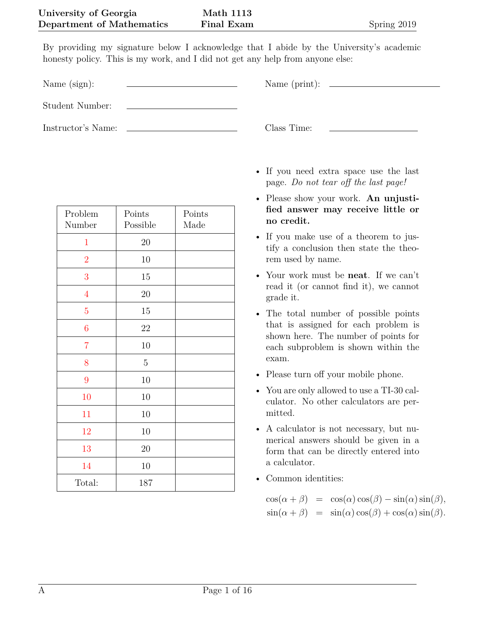By providing my signature below I acknowledge that I abide by the University's academic honesty policy. This is my work, and I did not get any help from anyone else:

Name (sign): Name (print):

Student Number:

Instructor's Name: Class Time:

| Problem<br>Number | Points<br>Possible | Points<br>Made |
|-------------------|--------------------|----------------|
| $\mathbf{1}$      | 20                 |                |
| $\overline{2}$    | 10                 |                |
| 3                 | 15                 |                |
| $\overline{4}$    | 20                 |                |
| $\overline{5}$    | 15                 |                |
| $\boldsymbol{6}$  | 22                 |                |
| $\overline{7}$    | 10                 |                |
| 8                 | $\bf 5$            |                |
| 9                 | $10\,$             |                |
| 10                | $10\,$             |                |
| 11                | 10                 |                |
| 12                | 10                 |                |
| 13                | 20                 |                |
| 14                | 10                 |                |
| Total:            | 187                |                |

- If you need extra space use the last
- page. *Do not tear off the last page!*
- Please show your work. **An unjustified answer may receive little or no credit.**
- If you make use of a theorem to justify a conclusion then state the theorem used by name.
- Your work must be **neat**. If we can't read it (or cannot find it), we cannot grade it.
- The total number of possible points that is assigned for each problem is shown here. The number of points for each subproblem is shown within the exam.
- Please turn off your mobile phone.
- You are only allowed to use a TI-30 calculator. No other calculators are permitted.
- A calculator is not necessary, but numerical answers should be given in a form that can be directly entered into a calculator.
- Common identities:

 $\cos(\alpha + \beta) = \cos(\alpha)\cos(\beta) - \sin(\alpha)\sin(\beta),$  $\sin(\alpha + \beta) = \sin(\alpha)\cos(\beta) + \cos(\alpha)\sin(\beta).$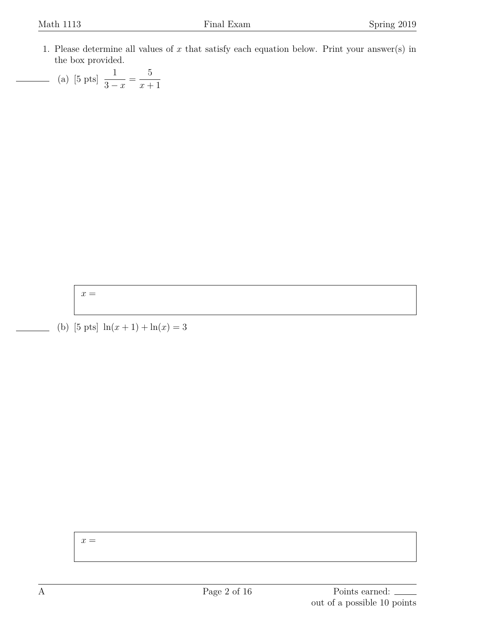- <span id="page-1-0"></span>1. Please determine all values of *x* that satisfy each equation below. Print your answer(s) in the box provided.
	- (a) [5 pts]  $\frac{1}{2}$ 3 *− x* = 5 *x* + 1

 $x =$ 

(b) [5 pts]  $\ln(x+1) + \ln(x) = 3$ 

 $x =$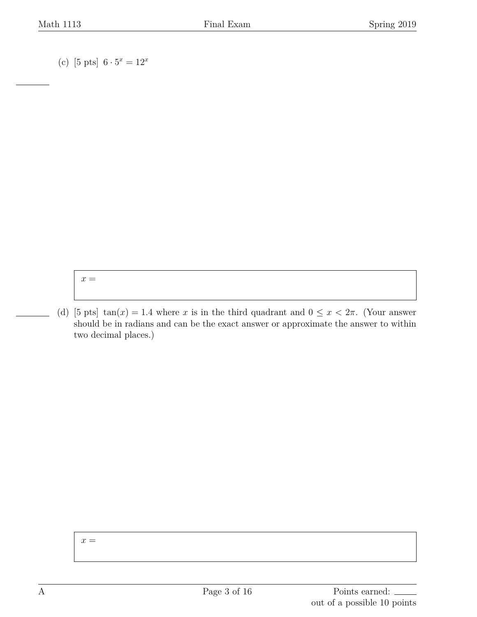(c) [5 pts]  $6 \cdot 5^x = 12^x$ 

 $x =$ 

(d) [5 pts] tan(*x*) = 1.4 where *x* is in the third quadrant and  $0 \le x < 2\pi$ . (Your answer should be in radians and can be the exact answer or approximate the answer to within two decimal places.)

 $x =$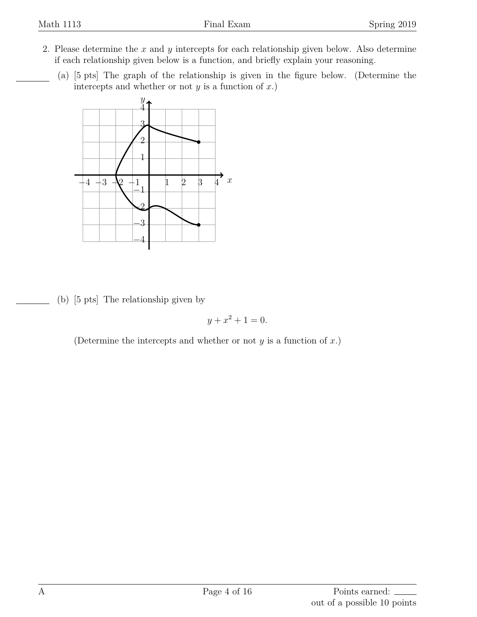- <span id="page-3-0"></span>2. Please determine the *x* and *y* intercepts for each relationship given below. Also determine if each relationship given below is a function, and briefly explain your reasoning.
	- (a) [5 pts] The graph of the relationship is given in the figure below. (Determine the intercepts and whether or not  $y$  is a function of  $x$ .)



(b) [5 pts] The relationship given by

$$
y + x^2 + 1 = 0.
$$

(Determine the intercepts and whether or not *y* is a function of *x*.)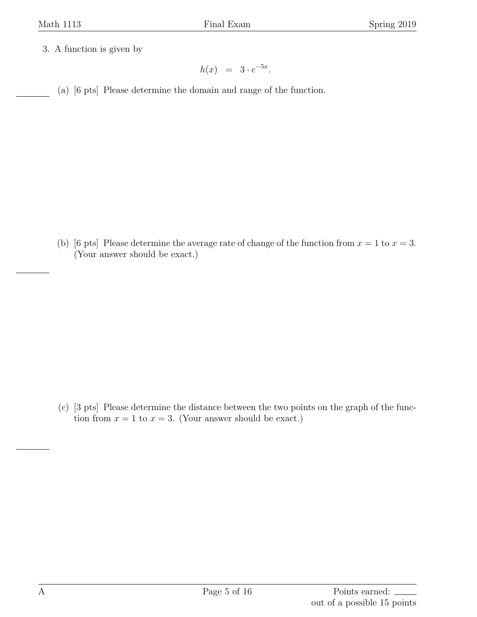<span id="page-4-0"></span>3. A function is given by

 $h(x) = 3 \cdot e^{-5x}$ .

(a) [6 pts] Please determine the domain and range of the function.

(b) [6 pts] Please determine the average rate of change of the function from  $x = 1$  to  $x = 3$ . (Your answer should be exact.)

(c) [3 pts] Please determine the distance between the two points on the graph of the function from  $x = 1$  to  $x = 3$ . (Your answer should be exact.)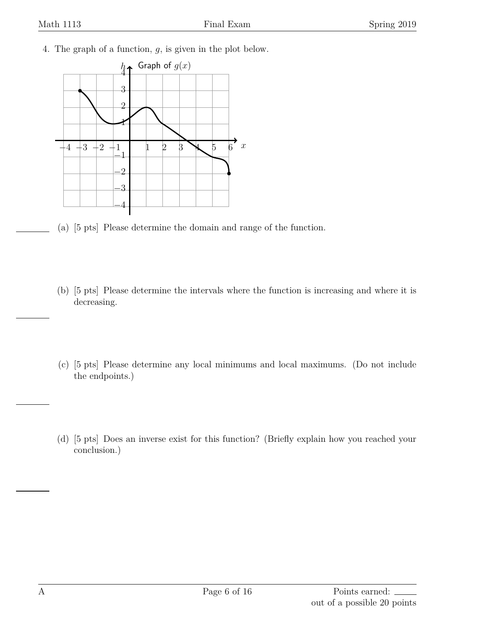<span id="page-5-0"></span>4. The graph of a function, *g*, is given in the plot below.



- (a) [5 pts] Please determine the domain and range of the function.
- (b) [5 pts] Please determine the intervals where the function is increasing and where it is decreasing.
- (c) [5 pts] Please determine any local minimums and local maximums. (Do not include the endpoints.)
- (d) [5 pts] Does an inverse exist for this function? (Briefly explain how you reached your conclusion.)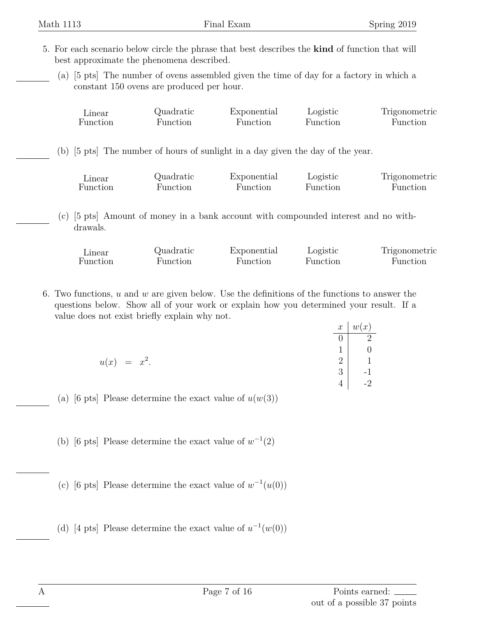- <span id="page-6-0"></span>5. For each scenario below circle the phrase that best describes the **kind** of function that will best approximate the phenomena described.
	- (a) [5 pts] The number of ovens assembled given the time of day for a factory in which a constant 150 ovens are produced per hour.

| Linear   | Quadratic | Exponential                                                                 | Logistic | Trigonometric |
|----------|-----------|-----------------------------------------------------------------------------|----------|---------------|
| Function | Function  | Function                                                                    | Function | Function      |
| (b)      |           | [5 pts] The number of hours of sunlight in a day given the day of the year. |          |               |
| Linear   | Quadratic | Exponential                                                                 | Logistic | Trigonometric |
| Function | Function  | Function                                                                    | Function | Function      |

(c) [5 pts] Amount of money in a bank account with compounded interest and no withdrawals.

| <i>L</i> inear | Quadratic | Exponential | Logistic | Trigonometric |
|----------------|-----------|-------------|----------|---------------|
| Function       | Function  | Function    | Function | Function      |

<span id="page-6-1"></span>6. Two functions, *u* and *w* are given below. Use the definitions of the functions to answer the questions below. Show all of your work or explain how you determined your result. If a value does not exist briefly explain why not.

|                | $\boldsymbol{x}$ | w(x)                 |
|----------------|------------------|----------------------|
|                | U                | റ                    |
|                |                  |                      |
| $u(x) = x^2$ . | 2                | 1                    |
|                | $\mathbf{Q}$     | $\mathbf{I}$<br>$-1$ |
|                |                  | $\Omega$             |

- (a) [6 pts] Please determine the exact value of  $u(w(3))$
- (b) [6 pts] Please determine the exact value of  $w^{-1}(2)$
- (c) [6 pts] Please determine the exact value of  $w^{-1}(u(0))$
- (d) [4 pts] Please determine the exact value of  $u^{-1}(w(0))$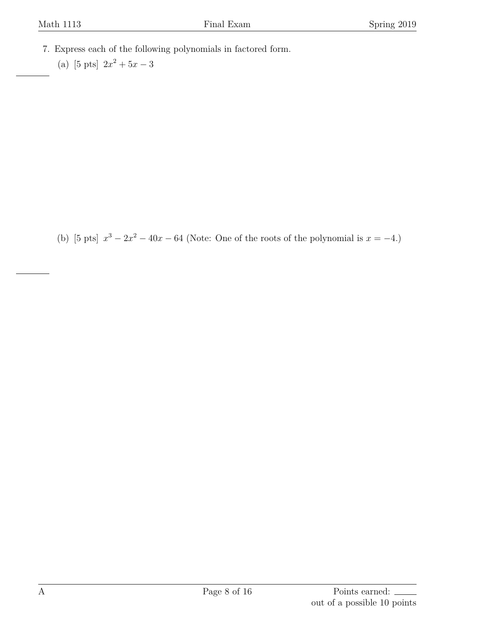- <span id="page-7-0"></span>7. Express each of the following polynomials in factored form.
	- (a) [5 pts]  $2x^2 + 5x 3$

(b) [5 pts]  $x^3 - 2x^2 - 40x - 64$  (Note: One of the roots of the polynomial is  $x = -4$ .)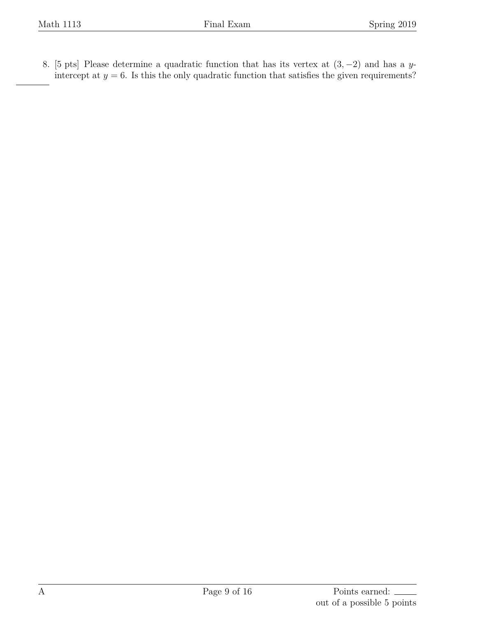<span id="page-8-0"></span>8. [5 pts] Please determine a quadratic function that has its vertex at (3*, −*2) and has a *y*intercept at  $y = 6$ . Is this the only quadratic function that satisfies the given requirements?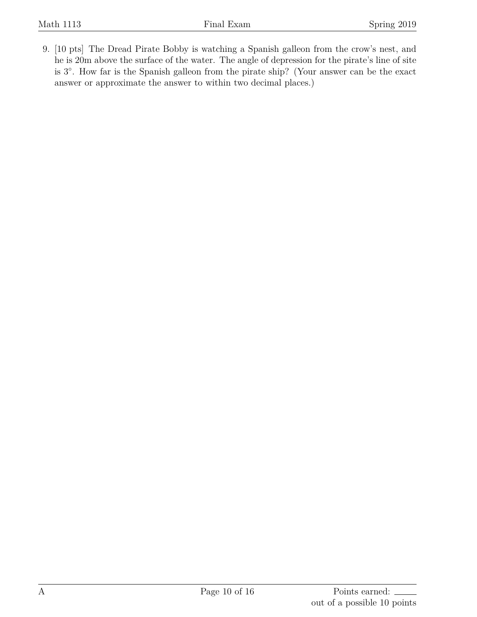<span id="page-9-0"></span>9. [10 pts] The Dread Pirate Bobby is watching a Spanish galleon from the crow's nest, and he is 20m above the surface of the water. The angle of depression for the pirate's line of site is 3 *◦* . How far is the Spanish galleon from the pirate ship? (Your answer can be the exact answer or approximate the answer to within two decimal places.)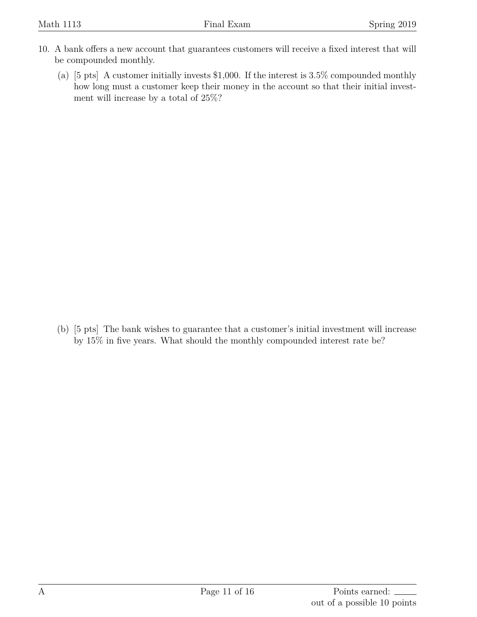- <span id="page-10-0"></span>10. A bank offers a new account that guarantees customers will receive a fixed interest that will be compounded monthly.
	- (a) [5 pts] A customer initially invests \$1,000. If the interest is 3.5% compounded monthly how long must a customer keep their money in the account so that their initial investment will increase by a total of 25%?

(b) [5 pts] The bank wishes to guarantee that a customer's initial investment will increase by 15% in five years. What should the monthly compounded interest rate be?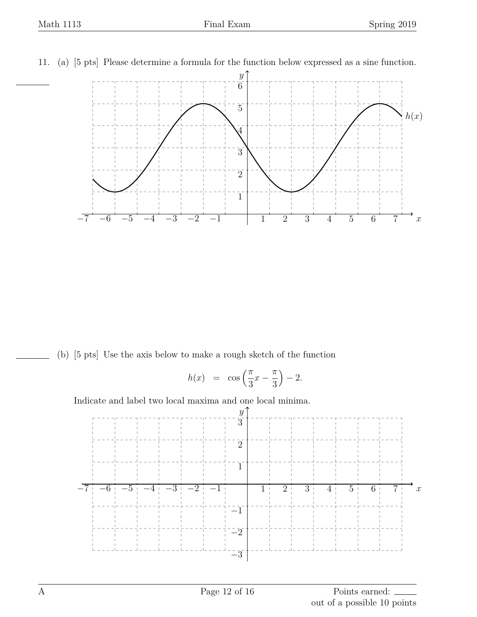

<span id="page-11-0"></span>11. (a) [5 pts] Please determine a formula for the function below expressed as a sine function.

(b) [5 pts] Use the axis below to make a rough sketch of the function

$$
h(x) = \cos\left(\frac{\pi}{3}x - \frac{\pi}{3}\right) - 2.
$$

Indicate and label two local maxima and one local minima.

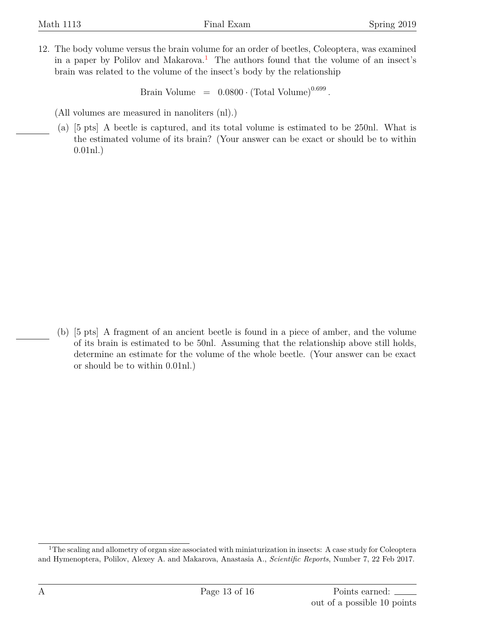<span id="page-12-0"></span>12. The body volume versus the brain volume for an order of beetles, Coleoptera, was examined in a paper by Polilov and Makarova.<sup>[1](#page-12-1)</sup> The authors found that the volume of an insect's brain was related to the volume of the insect's body by the relationship

 $\text{Brain Volume} = 0.0800 \cdot (\text{Total Volume})^{0.699}.$ 

(All volumes are measured in nanoliters (nl).)

(a) [5 pts] A beetle is captured, and its total volume is estimated to be 250nl. What is the estimated volume of its brain? (Your answer can be exact or should be to within 0.01nl.)

(b) [5 pts] A fragment of an ancient beetle is found in a piece of amber, and the volume of its brain is estimated to be 50nl. Assuming that the relationship above still holds, determine an estimate for the volume of the whole beetle. (Your answer can be exact or should be to within 0.01nl.)

<span id="page-12-1"></span><sup>&</sup>lt;sup>1</sup>The scaling and allometry of organ size associated with miniaturization in insects: A case study for Coleoptera and Hymenoptera, Polilov, Alexey A. and Makarova, Anastasia A., *Scientific Reports*, Number 7, 22 Feb 2017.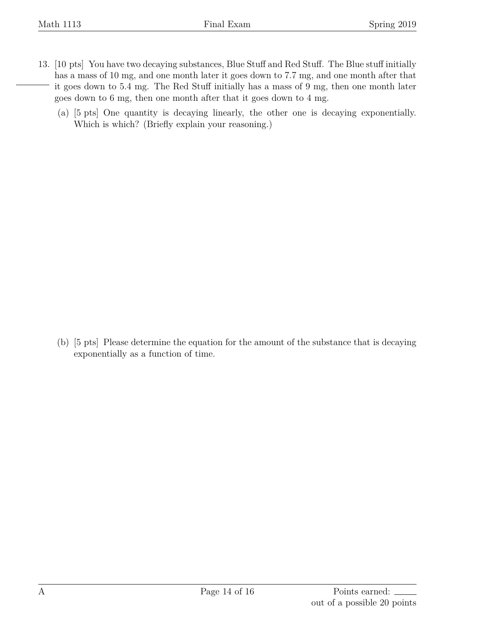- <span id="page-13-0"></span>13. [10 pts] You have two decaying substances, Blue Stuff and Red Stuff. The Blue stuff initially has a mass of 10 mg, and one month later it goes down to 7.7 mg, and one month after that it goes down to 5.4 mg. The Red Stuff initially has a mass of 9 mg, then one month later goes down to 6 mg, then one month after that it goes down to 4 mg.
	- (a) [5 pts] One quantity is decaying linearly, the other one is decaying exponentially. Which is which? (Briefly explain your reasoning.)

(b) [5 pts] Please determine the equation for the amount of the substance that is decaying exponentially as a function of time.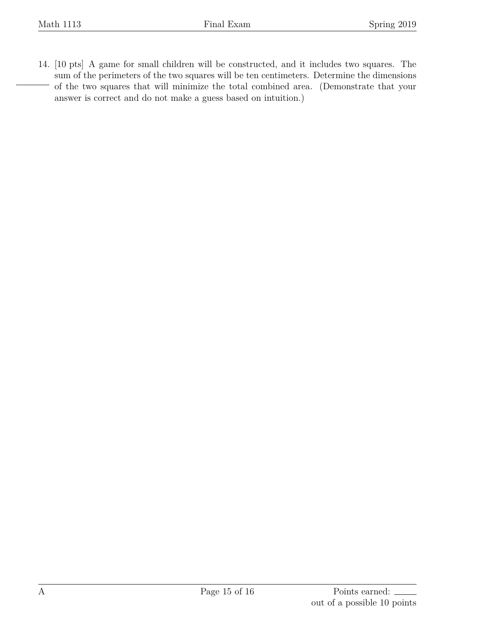<span id="page-14-0"></span>14. [10 pts] A game for small children will be constructed, and it includes two squares. The sum of the perimeters of the two squares will be ten centimeters. Determine the dimensions of the two squares that will minimize the total combined area. (Demonstrate that your answer is correct and do not make a guess based on intuition.)